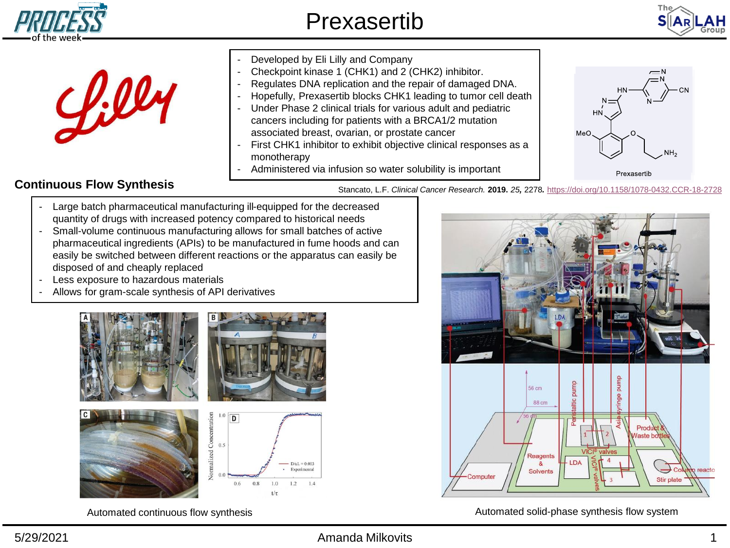



|  | Developed by Eli Lilly and Company<br>Checkpoint kinase 1 (CHK1) and 2 (CHK2) inhibitor.<br>Regulates DNA replication and the repair of damaged DNA.<br>Hopefully, Prexasertib blocks CHK1 leading to tumor cell death<br>Under Phase 2 clinical trials for various adult and pediatric<br>Ξ<br>cancers including for patients with a BRCA1/2 mutation<br>associated breast, ovarian, or prostate cancer<br>First CHK1 inhibitor to exhibit objective clinical responses as a<br>monotherapy<br>Administered via infusion so water solubility is important | $\equiv$ N<br><b>HN</b><br>MeO<br>Prexasertib |
|--|------------------------------------------------------------------------------------------------------------------------------------------------------------------------------------------------------------------------------------------------------------------------------------------------------------------------------------------------------------------------------------------------------------------------------------------------------------------------------------------------------------------------------------------------------------|-----------------------------------------------|
|--|------------------------------------------------------------------------------------------------------------------------------------------------------------------------------------------------------------------------------------------------------------------------------------------------------------------------------------------------------------------------------------------------------------------------------------------------------------------------------------------------------------------------------------------------------------|-----------------------------------------------|

## **Continuous Flow Synthesis**

l c l

Stancato, L.F. *Clinical Cancer Research.* **2019.** *25,* 2278*.* <https://doi.org/10.1158/1078-0432.CCR-18-2728>

- Large batch pharmaceutical manufacturing ill-equipped for the decreased quantity of drugs with increased potency compared to historical needs
- Small-volume continuous manufacturing allows for small batches of active pharmaceutical ingredients (APIs) to be manufactured in fume hoods and can easily be switched between different reactions or the apparatus can easily be disposed of and cheaply replaced
- Less exposure to hazardous materials
- Allows for gram-scale synthesis of API derivatives









Automated continuous flow synthesis Automated solid-phase synthesis flow system

## 5/29/2021 Amanda Milkovits 1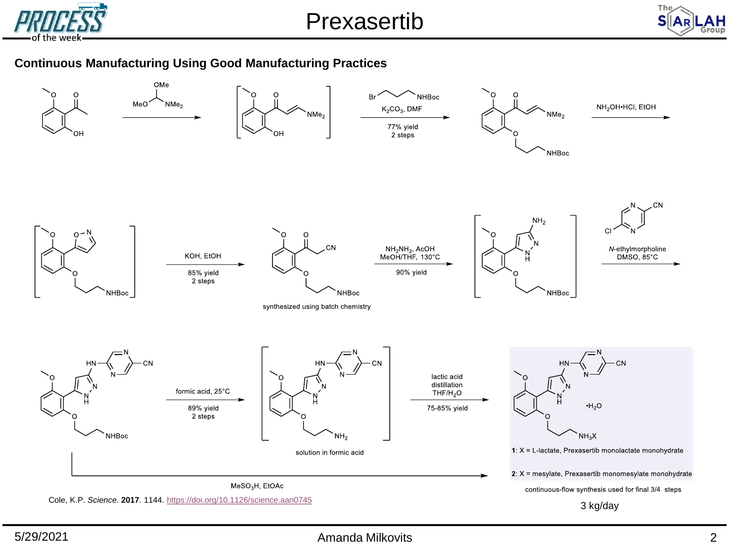

Prexasertib



## **Continuous Manufacturing Using Good Manufacturing Practices**